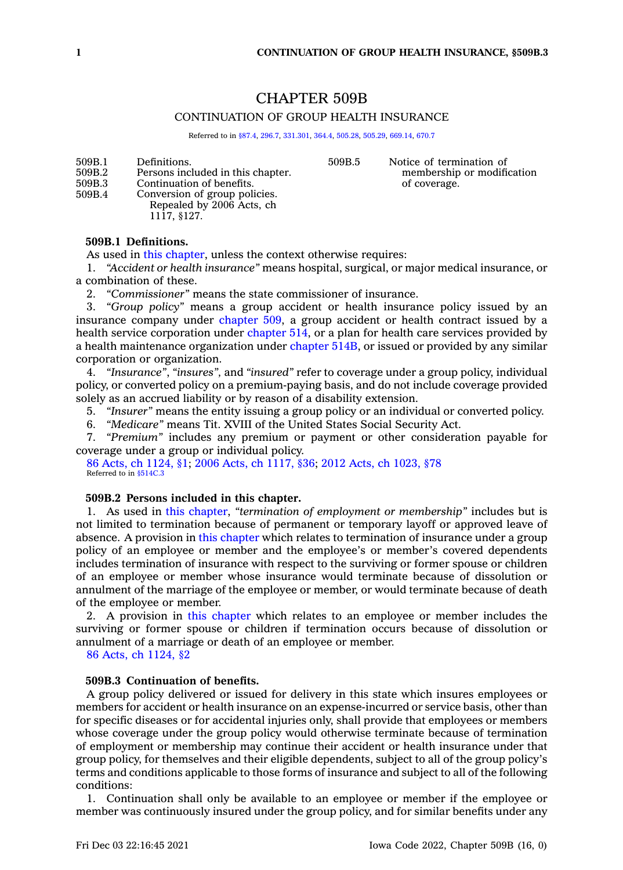# CHAPTER 509B

## CONTINUATION OF GROUP HEALTH INSURANCE

Referred to in [§87.4](https://www.legis.iowa.gov/docs/code/87.4.pdf), [296.7](https://www.legis.iowa.gov/docs/code/296.7.pdf), [331.301,](https://www.legis.iowa.gov/docs/code/331.301.pdf) [364.4,](https://www.legis.iowa.gov/docs/code/364.4.pdf) [505.28](https://www.legis.iowa.gov/docs/code/505.28.pdf), [505.29](https://www.legis.iowa.gov/docs/code/505.29.pdf), [669.14,](https://www.legis.iowa.gov/docs/code/669.14.pdf) [670.7](https://www.legis.iowa.gov/docs/code/670.7.pdf)

509B.1 Definitions. 509B.2 Persons included in this chapter.<br>509B.3 Continuation of benefits. Continuation of benefits. 509B.4 Conversion of group policies. Repealed by 2006 Acts, ch

509B.5 Notice of termination of membership or modification of coverage.

## **509B.1 Definitions.**

1117, §127.

As used in this [chapter](https://www.legis.iowa.gov/docs/code//509B.pdf), unless the context otherwise requires:

1. *"Accident or health insurance"* means hospital, surgical, or major medical insurance, or <sup>a</sup> combination of these.

2. *"Commissioner"* means the state commissioner of insurance.

3. *"Group policy"* means <sup>a</sup> group accident or health insurance policy issued by an insurance company under [chapter](https://www.legis.iowa.gov/docs/code//509.pdf) 509, <sup>a</sup> group accident or health contract issued by <sup>a</sup> health service corporation under [chapter](https://www.legis.iowa.gov/docs/code//514.pdf) 514, or <sup>a</sup> plan for health care services provided by <sup>a</sup> health maintenance organization under [chapter](https://www.legis.iowa.gov/docs/code//514B.pdf) 514B, or issued or provided by any similar corporation or organization.

4. *"Insurance"*, *"insures",* and *"insured"* refer to coverage under <sup>a</sup> group policy, individual policy, or converted policy on <sup>a</sup> premium-paying basis, and do not include coverage provided solely as an accrued liability or by reason of <sup>a</sup> disability extension.

5. *"Insurer"* means the entity issuing <sup>a</sup> group policy or an individual or converted policy.

6. *"Medicare"* means Tit. XVIII of the United States Social Security Act.

7. *"Premium"* includes any premium or payment or other consideration payable for coverage under <sup>a</sup> group or individual policy.

86 Acts, ch [1124,](https://www.legis.iowa.gov/docs/acts/1986/CH1124.pdf) §1; 2006 Acts, ch [1117,](https://www.legis.iowa.gov/docs/acts/2006/CH1117.pdf) §36; 2012 Acts, ch [1023,](https://www.legis.iowa.gov/docs/acts/2012/CH1023.pdf) §78 Referred to in [§514C.3](https://www.legis.iowa.gov/docs/code/514C.3.pdf)

# **509B.2 Persons included in this chapter.**

1. As used in this [chapter](https://www.legis.iowa.gov/docs/code//509B.pdf), *"termination of employment or membership"* includes but is not limited to termination because of permanent or temporary layoff or approved leave of absence. A provision in this [chapter](https://www.legis.iowa.gov/docs/code//509B.pdf) which relates to termination of insurance under <sup>a</sup> group policy of an employee or member and the employee's or member's covered dependents includes termination of insurance with respect to the surviving or former spouse or children of an employee or member whose insurance would terminate because of dissolution or annulment of the marriage of the employee or member, or would terminate because of death of the employee or member.

2. A provision in this [chapter](https://www.legis.iowa.gov/docs/code//509B.pdf) which relates to an employee or member includes the surviving or former spouse or children if termination occurs because of dissolution or annulment of <sup>a</sup> marriage or death of an employee or member.

86 Acts, ch [1124,](https://www.legis.iowa.gov/docs/acts/1986/CH1124.pdf) §2

## **509B.3 Continuation of benefits.**

A group policy delivered or issued for delivery in this state which insures employees or members for accident or health insurance on an expense-incurred or service basis, other than for specific diseases or for accidental injuries only, shall provide that employees or members whose coverage under the group policy would otherwise terminate because of termination of employment or membership may continue their accident or health insurance under that group policy, for themselves and their eligible dependents, subject to all of the group policy's terms and conditions applicable to those forms of insurance and subject to all of the following conditions:

1. Continuation shall only be available to an employee or member if the employee or member was continuously insured under the group policy, and for similar benefits under any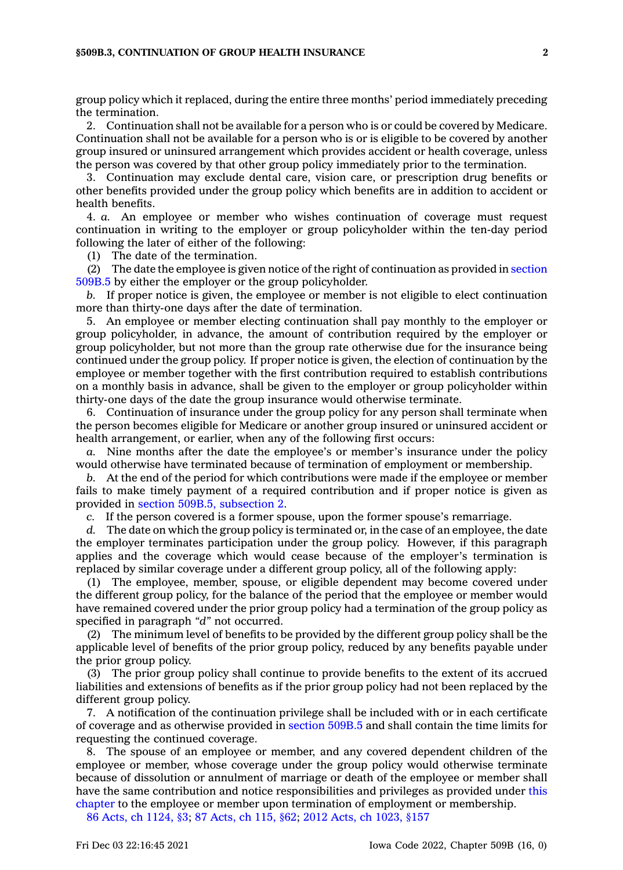#### **§509B.3, CONTINUATION OF GROUP HEALTH INSURANCE 2**

group policy which it replaced, during the entire three months' period immediately preceding the termination.

2. Continuation shall not be available for <sup>a</sup> person who is or could be covered by Medicare. Continuation shall not be available for <sup>a</sup> person who is or is eligible to be covered by another group insured or uninsured arrangement which provides accident or health coverage, unless the person was covered by that other group policy immediately prior to the termination.

3. Continuation may exclude dental care, vision care, or prescription drug benefits or other benefits provided under the group policy which benefits are in addition to accident or health benefits.

4. *a.* An employee or member who wishes continuation of coverage must request continuation in writing to the employer or group policyholder within the ten-day period following the later of either of the following:

(1) The date of the termination.

(2) The date the employee is given notice of the right of continuation as provided in [section](https://www.legis.iowa.gov/docs/code/509B.5.pdf) [509B.5](https://www.legis.iowa.gov/docs/code/509B.5.pdf) by either the employer or the group policyholder.

*b.* If proper notice is given, the employee or member is not eligible to elect continuation more than thirty-one days after the date of termination.

5. An employee or member electing continuation shall pay monthly to the employer or group policyholder, in advance, the amount of contribution required by the employer or group policyholder, but not more than the group rate otherwise due for the insurance being continued under the group policy. If proper notice is given, the election of continuation by the employee or member together with the first contribution required to establish contributions on <sup>a</sup> monthly basis in advance, shall be given to the employer or group policyholder within thirty-one days of the date the group insurance would otherwise terminate.

6. Continuation of insurance under the group policy for any person shall terminate when the person becomes eligible for Medicare or another group insured or uninsured accident or health arrangement, or earlier, when any of the following first occurs:

*a.* Nine months after the date the employee's or member's insurance under the policy would otherwise have terminated because of termination of employment or membership.

*b.* At the end of the period for which contributions were made if the employee or member fails to make timely payment of <sup>a</sup> required contribution and if proper notice is given as provided in section 509B.5, [subsection](https://www.legis.iowa.gov/docs/code/509B.5.pdf) 2.

*c.* If the person covered is <sup>a</sup> former spouse, upon the former spouse's remarriage.

*d.* The date on which the group policy is terminated or, in the case of an employee, the date the employer terminates participation under the group policy. However, if this paragraph applies and the coverage which would cease because of the employer's termination is replaced by similar coverage under <sup>a</sup> different group policy, all of the following apply:

(1) The employee, member, spouse, or eligible dependent may become covered under the different group policy, for the balance of the period that the employee or member would have remained covered under the prior group policy had <sup>a</sup> termination of the group policy as specified in paragraph *"d"* not occurred.

(2) The minimum level of benefits to be provided by the different group policy shall be the applicable level of benefits of the prior group policy, reduced by any benefits payable under the prior group policy.

(3) The prior group policy shall continue to provide benefits to the extent of its accrued liabilities and extensions of benefits as if the prior group policy had not been replaced by the different group policy.

7. A notification of the continuation privilege shall be included with or in each certificate of coverage and as otherwise provided in [section](https://www.legis.iowa.gov/docs/code/509B.5.pdf) 509B.5 and shall contain the time limits for requesting the continued coverage.

8. The spouse of an employee or member, and any covered dependent children of the employee or member, whose coverage under the group policy would otherwise terminate because of dissolution or annulment of marriage or death of the employee or member shall have the same contribution and notice responsibilities and privileges as provided under [this](https://www.legis.iowa.gov/docs/code//509B.pdf) [chapter](https://www.legis.iowa.gov/docs/code//509B.pdf) to the employee or member upon termination of employment or membership.

86 Acts, ch [1124,](https://www.legis.iowa.gov/docs/acts/1986/CH1124.pdf) §3; 87 [Acts,](https://www.legis.iowa.gov/docs/acts/87/CH0115.pdf) ch 115, §62; 2012 Acts, ch [1023,](https://www.legis.iowa.gov/docs/acts/2012/CH1023.pdf) §157